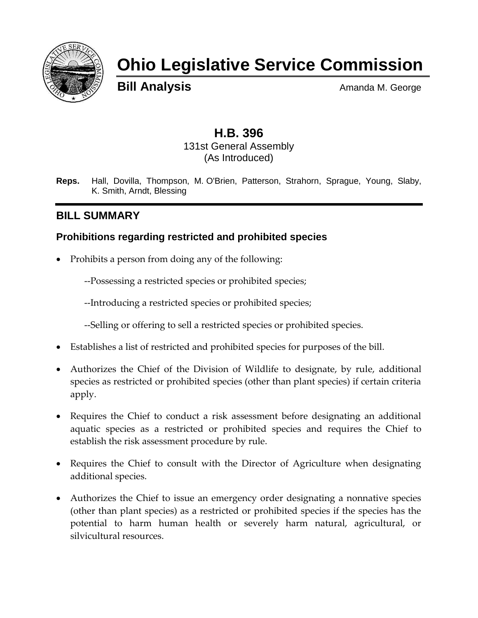

# **Ohio Legislative Service Commission**

**Bill Analysis** Amanda M. George

## **H.B. 396**

131st General Assembly (As Introduced)

**Reps.** Hall, Dovilla, Thompson, M. O'Brien, Patterson, Strahorn, Sprague, Young, Slaby, K. Smith, Arndt, Blessing

## **BILL SUMMARY**

#### **Prohibitions regarding restricted and prohibited species**

• Prohibits a person from doing any of the following:

--Possessing a restricted species or prohibited species;

--Introducing a restricted species or prohibited species;

--Selling or offering to sell a restricted species or prohibited species.

- Establishes a list of restricted and prohibited species for purposes of the bill.
- Authorizes the Chief of the Division of Wildlife to designate, by rule, additional species as restricted or prohibited species (other than plant species) if certain criteria apply.
- Requires the Chief to conduct a risk assessment before designating an additional aquatic species as a restricted or prohibited species and requires the Chief to establish the risk assessment procedure by rule.
- Requires the Chief to consult with the Director of Agriculture when designating additional species.
- Authorizes the Chief to issue an emergency order designating a nonnative species (other than plant species) as a restricted or prohibited species if the species has the potential to harm human health or severely harm natural, agricultural, or silvicultural resources.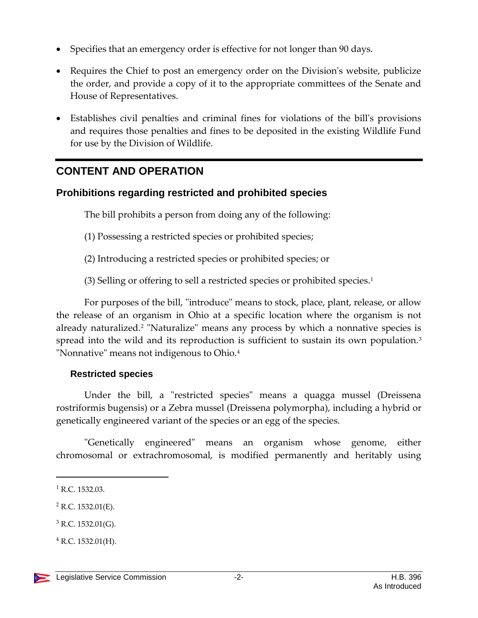- Specifies that an emergency order is effective for not longer than 90 days.
- Requires the Chief to post an emergency order on the Division's website, publicize the order, and provide a copy of it to the appropriate committees of the Senate and House of Representatives.
- Establishes civil penalties and criminal fines for violations of the bill's provisions and requires those penalties and fines to be deposited in the existing Wildlife Fund for use by the Division of Wildlife.

## **CONTENT AND OPERATION**

#### **Prohibitions regarding restricted and prohibited species**

The bill prohibits a person from doing any of the following:

- (1) Possessing a restricted species or prohibited species;
- (2) Introducing a restricted species or prohibited species; or
- (3) Selling or offering to sell a restricted species or prohibited species.<sup>1</sup>

For purposes of the bill, "introduce" means to stock, place, plant, release, or allow the release of an organism in Ohio at a specific location where the organism is not already naturalized.<sup>2</sup> "Naturalize" means any process by which a nonnative species is spread into the wild and its reproduction is sufficient to sustain its own population.<sup>3</sup> "Nonnative" means not indigenous to Ohio.<sup>4</sup>

#### **Restricted species**

Under the bill, a "restricted species" means a quagga mussel (Dreissena rostriformis bugensis) or a Zebra mussel (Dreissena polymorpha), including a hybrid or genetically engineered variant of the species or an egg of the species.

"Genetically engineered" means an organism whose genome, either chromosomal or extrachromosomal, is modified permanently and heritably using

 $\overline{a}$ 

 $3$  R.C. 1532.01(G).

<sup>&</sup>lt;sup>1</sup> R.C. 1532.03.

 $2$  R.C. 1532.01(E).

 $4$  R.C. 1532.01(H).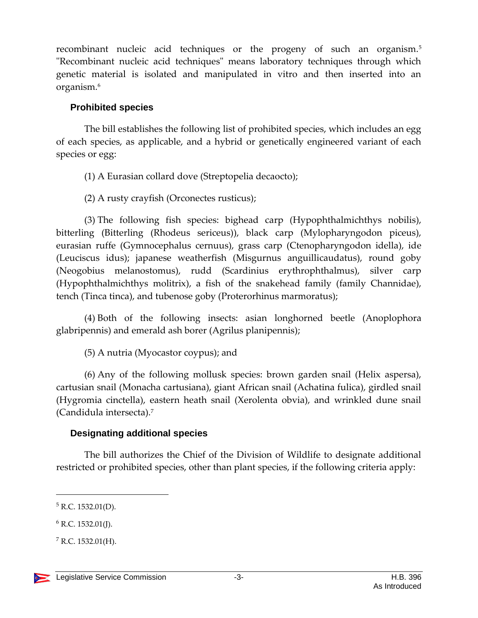recombinant nucleic acid techniques or the progeny of such an organism.<sup>5</sup> "Recombinant nucleic acid techniques" means laboratory techniques through which genetic material is isolated and manipulated in vitro and then inserted into an organism.<sup>6</sup>

#### **Prohibited species**

The bill establishes the following list of prohibited species, which includes an egg of each species, as applicable, and a hybrid or genetically engineered variant of each species or egg:

(1) A Eurasian collard dove (Streptopelia decaocto);

(2) A rusty crayfish (Orconectes rusticus);

(3) The following fish species: bighead carp (Hypophthalmichthys nobilis), bitterling (Bitterling (Rhodeus sericeus)), black carp (Mylopharyngodon piceus), eurasian ruffe (Gymnocephalus cernuus), grass carp (Ctenopharyngodon idella), ide (Leuciscus idus); japanese weatherfish (Misgurnus anguillicaudatus), round goby (Neogobius melanostomus), rudd (Scardinius erythrophthalmus), silver carp (Hypophthalmichthys molitrix), a fish of the snakehead family (family Channidae), tench (Tinca tinca), and tubenose goby (Proterorhinus marmoratus);

(4) Both of the following insects: asian longhorned beetle (Anoplophora glabripennis) and emerald ash borer (Agrilus planipennis);

(5) A nutria (Myocastor coypus); and

(6) Any of the following mollusk species: brown garden snail (Helix aspersa), cartusian snail (Monacha cartusiana), giant African snail (Achatina fulica), girdled snail (Hygromia cinctella), eastern heath snail (Xerolenta obvia), and wrinkled dune snail (Candidula intersecta).<sup>7</sup>

#### **Designating additional species**

The bill authorizes the Chief of the Division of Wildlife to designate additional restricted or prohibited species, other than plant species, if the following criteria apply:

 $\overline{a}$ 

 $5$  R.C. 1532.01(D).

 $6$  R.C. 1532.01(J).

 $7$  R.C. 1532.01(H).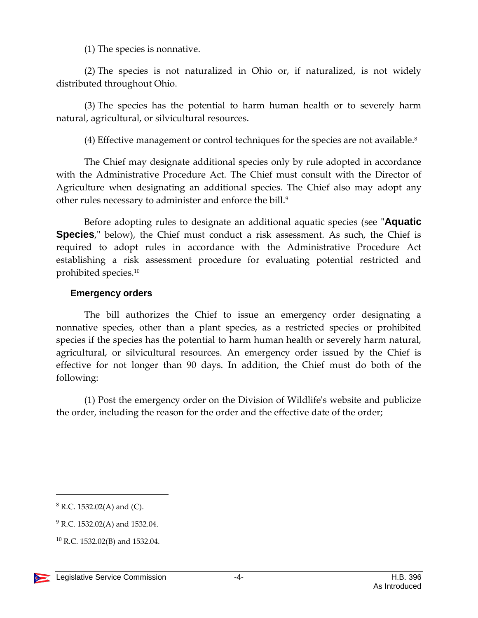(1) The species is nonnative.

(2) The species is not naturalized in Ohio or, if naturalized, is not widely distributed throughout Ohio.

(3) The species has the potential to harm human health or to severely harm natural, agricultural, or silvicultural resources.

(4) Effective management or control techniques for the species are not available.<sup>8</sup>

The Chief may designate additional species only by rule adopted in accordance with the Administrative Procedure Act. The Chief must consult with the Director of Agriculture when designating an additional species. The Chief also may adopt any other rules necessary to administer and enforce the bill.<sup>9</sup>

Before adopting rules to designate an additional aquatic species (see "**Aquatic Species**," below), the Chief must conduct a risk assessment. As such, the Chief is required to adopt rules in accordance with the Administrative Procedure Act establishing a risk assessment procedure for evaluating potential restricted and prohibited species.<sup>10</sup>

#### **Emergency orders**

The bill authorizes the Chief to issue an emergency order designating a nonnative species, other than a plant species, as a restricted species or prohibited species if the species has the potential to harm human health or severely harm natural, agricultural, or silvicultural resources. An emergency order issued by the Chief is effective for not longer than 90 days. In addition, the Chief must do both of the following:

(1) Post the emergency order on the Division of Wildlife's website and publicize the order, including the reason for the order and the effective date of the order;

<sup>10</sup> R.C. 1532.02(B) and 1532.04.



 $\overline{a}$ 

 $8$  R.C. 1532.02(A) and (C).

<sup>&</sup>lt;sup>9</sup> R.C. 1532.02(A) and 1532.04.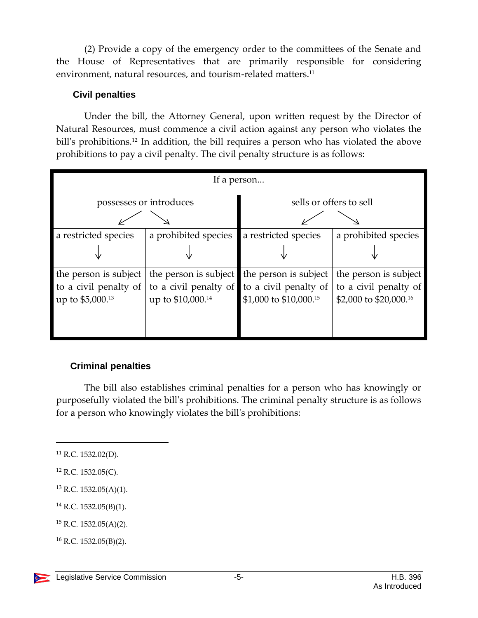(2) Provide a copy of the emergency order to the committees of the Senate and the House of Representatives that are primarily responsible for considering environment, natural resources, and tourism-related matters.<sup>11</sup>

#### **Civil penalties**

Under the bill, the Attorney General, upon written request by the Director of Natural Resources, must commence a civil action against any person who violates the bill's prohibitions.<sup>12</sup> In addition, the bill requires a person who has violated the above prohibitions to pay a civil penalty. The civil penalty structure is as follows:

| If a person                                                        |                                                                                 |                                                                          |                                                                          |  |  |
|--------------------------------------------------------------------|---------------------------------------------------------------------------------|--------------------------------------------------------------------------|--------------------------------------------------------------------------|--|--|
|                                                                    | possesses or introduces                                                         | sells or offers to sell                                                  |                                                                          |  |  |
|                                                                    |                                                                                 |                                                                          |                                                                          |  |  |
| a restricted species                                               | a prohibited species                                                            | a restricted species                                                     | a prohibited species                                                     |  |  |
|                                                                    |                                                                                 |                                                                          |                                                                          |  |  |
| the person is subject<br>to a civil penalty of<br>up to \$5,000.13 | the person is subject<br>to a civil penalty of<br>up to \$10,000. <sup>14</sup> | the person is subject<br>to a civil penalty of<br>\$1,000 to \$10,000.15 | the person is subject<br>to a civil penalty of<br>\$2,000 to \$20,000.16 |  |  |

#### **Criminal penalties**

The bill also establishes criminal penalties for a person who has knowingly or purposefully violated the bill's prohibitions. The criminal penalty structure is as follows for a person who knowingly violates the bill's prohibitions:

 $\overline{a}$ 

<sup>13</sup> R.C. 1532.05(A)(1).

<sup>14</sup> R.C. 1532.05(B)(1).

 $15$  R.C. 1532.05(A)(2).

<sup>16</sup> R.C. 1532.05(B)(2).



 $11$  R.C. 1532.02(D).

<sup>12</sup> R.C. 1532.05(C).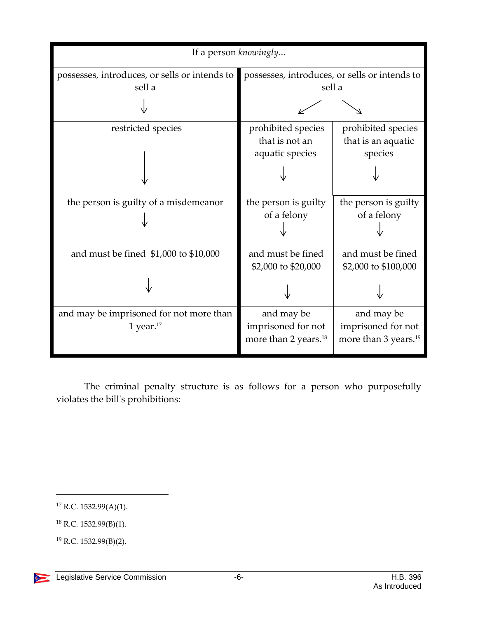| If a person knowingly                         |                                               |                                  |  |  |
|-----------------------------------------------|-----------------------------------------------|----------------------------------|--|--|
| possesses, introduces, or sells or intends to | possesses, introduces, or sells or intends to |                                  |  |  |
| sell a                                        | sell a                                        |                                  |  |  |
|                                               |                                               |                                  |  |  |
| restricted species                            | prohibited species                            | prohibited species               |  |  |
|                                               | that is not an                                | that is an aquatic               |  |  |
|                                               | aquatic species                               | species                          |  |  |
|                                               |                                               |                                  |  |  |
| the person is guilty of a misdemeanor         | the person is guilty                          | the person is guilty             |  |  |
|                                               | of a felony                                   | of a felony                      |  |  |
|                                               |                                               |                                  |  |  |
| and must be fined \$1,000 to \$10,000         | and must be fined                             | and must be fined                |  |  |
|                                               | \$2,000 to \$20,000                           | \$2,000 to \$100,000             |  |  |
|                                               |                                               |                                  |  |  |
| and may be imprisoned for not more than       | and may be                                    | and may be                       |  |  |
| 1 year. $17$                                  | imprisoned for not                            | imprisoned for not               |  |  |
|                                               | more than 2 years. <sup>18</sup>              | more than 3 years. <sup>19</sup> |  |  |
|                                               |                                               |                                  |  |  |

The criminal penalty structure is as follows for a person who purposefully violates the bill's prohibitions:

 $\overline{a}$ 

 $17$  R.C. 1532.99(A)(1).

<sup>18</sup> R.C. 1532.99(B)(1).

<sup>19</sup> R.C. 1532.99(B)(2).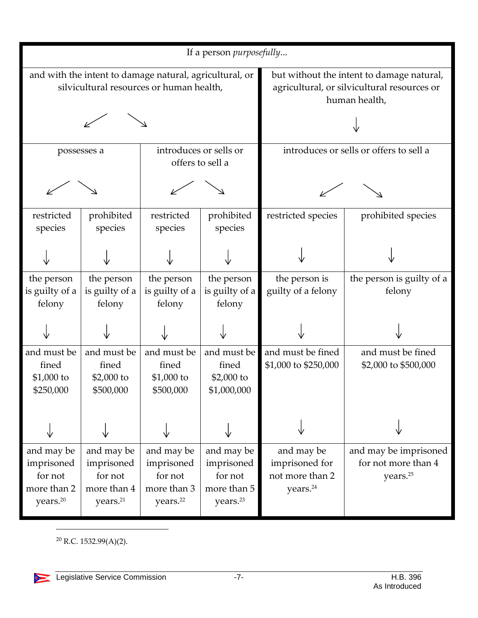| If a person <i>purposefully</i>                                                                     |                                                                            |                                                                            |                                                                            |                                                                                                           |                                                                      |
|-----------------------------------------------------------------------------------------------------|----------------------------------------------------------------------------|----------------------------------------------------------------------------|----------------------------------------------------------------------------|-----------------------------------------------------------------------------------------------------------|----------------------------------------------------------------------|
| and with the intent to damage natural, agricultural, or<br>silvicultural resources or human health, |                                                                            |                                                                            |                                                                            | but without the intent to damage natural,<br>agricultural, or silvicultural resources or<br>human health, |                                                                      |
|                                                                                                     |                                                                            |                                                                            |                                                                            |                                                                                                           |                                                                      |
| possesses a                                                                                         |                                                                            | introduces or sells or<br>offers to sell a                                 |                                                                            | introduces or sells or offers to sell a                                                                   |                                                                      |
|                                                                                                     |                                                                            |                                                                            |                                                                            |                                                                                                           |                                                                      |
| restricted<br>species                                                                               | prohibited<br>species                                                      | restricted<br>species                                                      | prohibited<br>species                                                      | restricted species                                                                                        | prohibited species                                                   |
|                                                                                                     |                                                                            |                                                                            |                                                                            |                                                                                                           |                                                                      |
| the person<br>is guilty of a<br>felony                                                              | the person<br>is guilty of a<br>felony                                     | the person<br>is guilty of a<br>felony                                     | the person<br>is guilty of a<br>felony                                     | the person is<br>guilty of a felony                                                                       | the person is guilty of a<br>felony                                  |
|                                                                                                     |                                                                            |                                                                            |                                                                            |                                                                                                           |                                                                      |
| and must be<br>fined<br>$$1,000$ to<br>\$250,000                                                    | and must be<br>fined<br>\$2,000 to<br>\$500,000                            | and must be<br>fined<br>$$1,000$ to<br>\$500,000                           | and must be<br>fined<br>$$2,000$ to<br>\$1,000,000                         | and must be fined<br>\$1,000 to \$250,000                                                                 | and must be fined<br>\$2,000 to \$500,000                            |
|                                                                                                     |                                                                            |                                                                            |                                                                            |                                                                                                           |                                                                      |
| and may be<br>imprisoned<br>for not<br>more than 2<br>years. <sup>20</sup>                          | and may be<br>imprisoned<br>for not<br>more than 4<br>years. <sup>21</sup> | and may be<br>imprisoned<br>for not<br>more than 3<br>years. <sup>22</sup> | and may be<br>imprisoned<br>for not<br>more than 5<br>years. <sup>23</sup> | and may be<br>imprisoned for<br>not more than 2<br>years. <sup>24</sup>                                   | and may be imprisoned<br>for not more than 4<br>years. <sup>25</sup> |

<sup>20</sup> R.C. 1532.99(A)(2).

÷.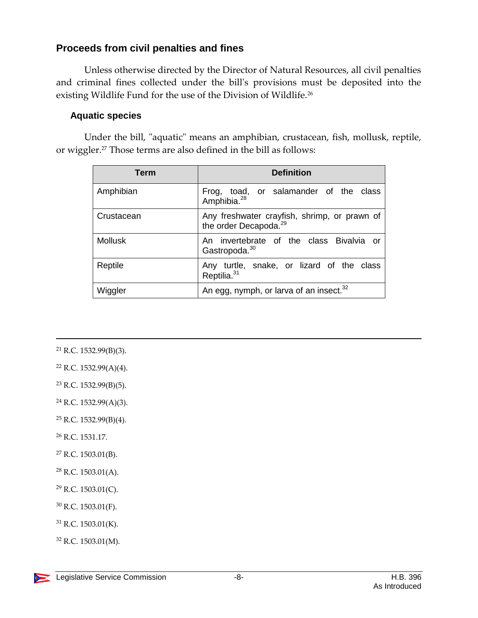#### **Proceeds from civil penalties and fines**

Unless otherwise directed by the Director of Natural Resources, all civil penalties and criminal fines collected under the bill's provisions must be deposited into the existing Wildlife Fund for the use of the Division of Wildlife.<sup>26</sup>

#### **Aquatic species**

Under the bill, "aquatic" means an amphibian, crustacean, fish, mollusk, reptile, or wiggler.<sup>27</sup> Those terms are also defined in the bill as follows:

| <b>Term</b>    | <b>Definition</b>                                                                 |
|----------------|-----------------------------------------------------------------------------------|
| Amphibian      | Frog, toad, or salamander of the class<br>Amphibia. <sup>28</sup>                 |
| Crustacean     | Any freshwater crayfish, shrimp, or prawn of<br>the order Decapoda. <sup>29</sup> |
| <b>Mollusk</b> | An invertebrate of the class Bivalvia or<br>Gastropoda. <sup>30</sup>             |
| Reptile        | Any turtle, snake, or lizard of the class<br>Reptilia. <sup>31</sup>              |
| Wiggler        | An egg, nymph, or larva of an insect. <sup>32</sup>                               |

<sup>21</sup> R.C. 1532.99(B)(3).

 $\overline{a}$ 

- $22$  R.C. 1532.99(A)(4).
- <sup>23</sup> R.C. 1532.99(B)(5).
- $24$  R.C. 1532.99(A)(3).
- $25$  R.C. 1532.99(B)(4).
- <sup>26</sup> R.C. 1531.17.
- $27$  R.C. 1503.01(B).
- <sup>28</sup> R.C. 1503.01(A).
- $29$  R.C. 1503.01(C).
- <sup>30</sup> R.C. 1503.01(F).
- $31$  R.C. 1503.01(K).
- <sup>32</sup> R.C. 1503.01(M).

DE